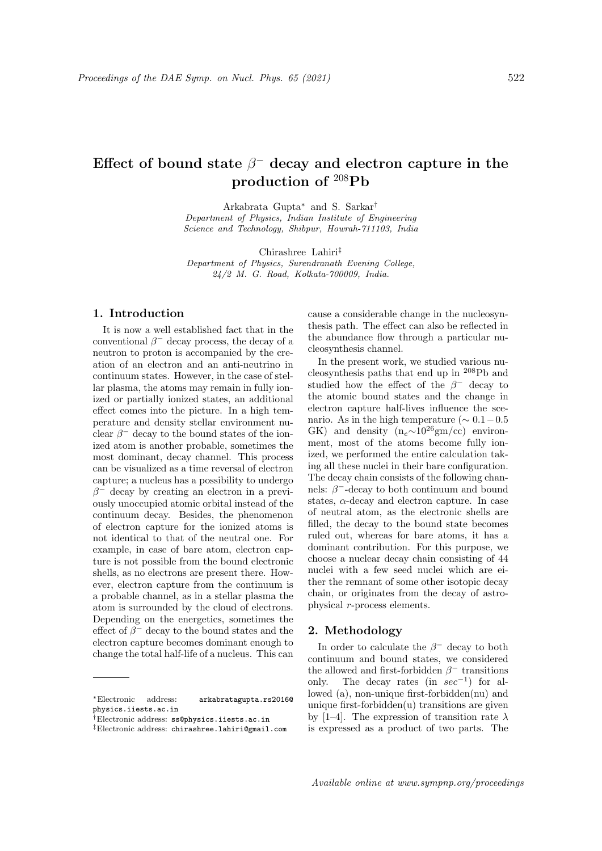# Effect of bound state  $\beta^-$  decay and electron capture in the production of <sup>208</sup>Pb

Arkabrata Gupta<sup>∗</sup> and S. Sarkar† Department of Physics, Indian Institute of Engineering Science and Technology, Shibpur, Howrah-711103, India

Chirashree Lahiri‡

Department of Physics, Surendranath Evening College, 24/2 M. G. Road, Kolkata-700009, India.

# 1. Introduction

It is now a well established fact that in the conventional  $\beta^-$  decay process, the decay of a neutron to proton is accompanied by the creation of an electron and an anti-neutrino in continuum states. However, in the case of stellar plasma, the atoms may remain in fully ionized or partially ionized states, an additional effect comes into the picture. In a high temperature and density stellar environment nuclear  $\beta^-$  decay to the bound states of the ionized atom is another probable, sometimes the most dominant, decay channel. This process can be visualized as a time reversal of electron capture; a nucleus has a possibility to undergo  $\beta^-$  decay by creating an electron in a previously unoccupied atomic orbital instead of the continuum decay. Besides, the phenomenon of electron capture for the ionized atoms is not identical to that of the neutral one. For example, in case of bare atom, electron capture is not possible from the bound electronic shells, as no electrons are present there. However, electron capture from the continuum is a probable channel, as in a stellar plasma the atom is surrounded by the cloud of electrons. Depending on the energetics, sometimes the effect of  $\beta^-$  decay to the bound states and the electron capture becomes dominant enough to change the total half-life of a nucleus. This can

<sup>∗</sup>Electronic address: arkabratagupta.rs2016@ physics.iiests.ac.in

cause a considerable change in the nucleosynthesis path. The effect can also be reflected in the abundance flow through a particular nucleosynthesis channel.

In the present work, we studied various nucleosynthesis paths that end up in <sup>208</sup>Pb and studied how the effect of the  $\beta^-$  decay to the atomic bound states and the change in electron capture half-lives influence the scenario. As in the high temperature ( $\sim 0.1-0.5$ GK) and density  $(n_e \sim 10^{26} \text{gm/cc})$  environment, most of the atoms become fully ionized, we performed the entire calculation taking all these nuclei in their bare configuration. The decay chain consists of the following channels:  $\beta^-$ -decay to both continuum and bound states,  $\alpha$ -decay and electron capture. In case of neutral atom, as the electronic shells are filled, the decay to the bound state becomes ruled out, whereas for bare atoms, it has a dominant contribution. For this purpose, we choose a nuclear decay chain consisting of 44 nuclei with a few seed nuclei which are either the remnant of some other isotopic decay chain, or originates from the decay of astrophysical r-process elements.

## 2. Methodology

In order to calculate the  $\beta^-$  decay to both continuum and bound states, we considered the allowed and first-forbidden  $\beta^-$  transitions only. The decay rates (in  $sec^{-1}$ ) for allowed (a), non-unique first-forbidden(nu) and unique first-forbidden $(u)$  transitions are given by [1–4]. The expression of transition rate  $\lambda$ is expressed as a product of two parts. The

<sup>†</sup>Electronic address: ss@physics.iiests.ac.in

<sup>‡</sup>Electronic address: chirashree.lahiri@gmail.com